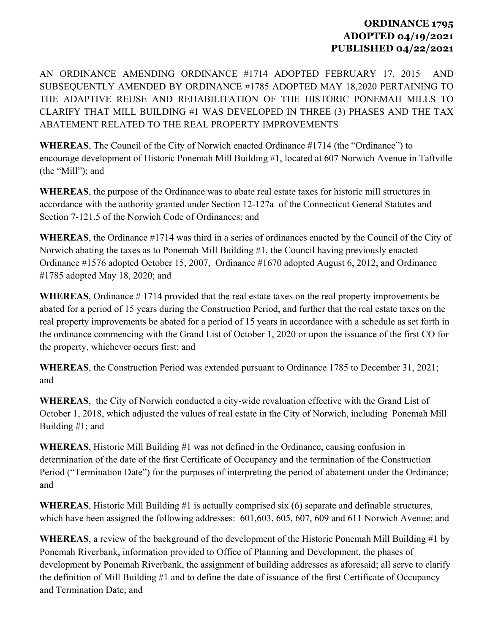## **ORDINANCE 1795 ADOPTED 04/19/2021 PUBLISHED 04/22/2021**

AN ORDINANCE AMENDING ORDINANCE #1714 ADOPTED FEBRUARY 17, 2015 AND SUBSEQUENTLY AMENDED BY ORDINANCE #1785 ADOPTED MAY 18,2020 PERTAINING TO THE ADAPTIVE REUSE AND REHABILITATION OF THE HISTORIC PONEMAH MILLS TO CLARIFY THAT MILL BUILDING #1 WAS DEVELOPED IN THREE (3) PHASES AND THE TAX ABATEMENT RELATED TO THE REAL PROPERTY IMPROVEMENTS

**WHEREAS**, The Council of the City of Norwich enacted Ordinance #1714 (the "Ordinance") to encourage development of Historic Ponemah Mill Building #1, located at 607 Norwich Avenue in Taftville (the "Mill"); and

**WHEREAS**, the purpose of the Ordinance was to abate real estate taxes for historic mill structures in accordance with the authority granted under Section 12-127a of the Connecticut General Statutes and Section 7-121.5 of the Norwich Code of Ordinances; and

**WHEREAS**, the Ordinance #1714 was third in a series of ordinances enacted by the Council of the City of Norwich abating the taxes as to Ponemah Mill Building #1, the Council having previously enacted Ordinance #1576 adopted October 15, 2007, Ordinance #1670 adopted August 6, 2012, and Ordinance #1785 adopted May 18, 2020; and

**WHEREAS**, Ordinance # 1714 provided that the real estate taxes on the real property improvements be abated for a period of 15 years during the Construction Period, and further that the real estate taxes on the real property improvements be abated for a period of 15 years in accordance with a schedule as set forth in the ordinance commencing with the Grand List of October 1, 2020 or upon the issuance of the first CO for the property, whichever occurs first; and

**WHEREAS**, the Construction Period was extended pursuant to Ordinance 1785 to December 31, 2021; and

**WHEREAS**, the City of Norwich conducted a city-wide revaluation effective with the Grand List of October 1, 2018, which adjusted the values of real estate in the City of Norwich, including Ponemah Mill Building #1; and

**WHEREAS**, Historic Mill Building #1 was not defined in the Ordinance, causing confusion in determination of the date of the first Certificate of Occupancy and the termination of the Construction Period ("Termination Date") for the purposes of interpreting the period of abatement under the Ordinance; and

**WHEREAS**, Historic Mill Building #1 is actually comprised six (6) separate and definable structures, which have been assigned the following addresses: 601,603, 605, 607, 609 and 611 Norwich Avenue; and

**WHEREAS**, a review of the background of the development of the Historic Ponemah Mill Building #1 by Ponemah Riverbank, information provided to Office of Planning and Development, the phases of development by Ponemah Riverbank, the assignment of building addresses as aforesaid; all serve to clarify the definition of Mill Building #1 and to define the date of issuance of the first Certificate of Occupancy and Termination Date; and